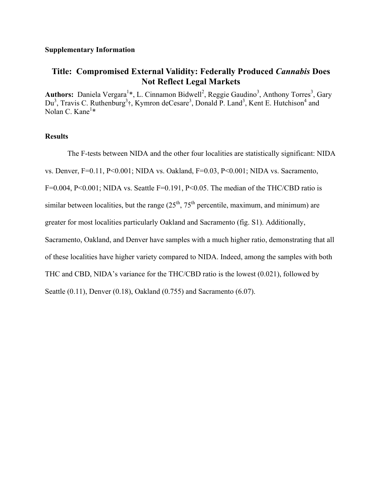## **Supplementary Information**

## **Title: Compromised External Validity: Federally Produced** *Cannabis* **Does Not Reflect Legal Markets**

Authors: Daniela Vergara<sup>1\*</sup>, L. Cinnamon Bidwell<sup>2</sup>, Reggie Gaudino<sup>3</sup>, Anthony Torres<sup>3</sup>, Gary Du<sup>3</sup>, Travis C. Ruthenburg<sup>3</sup>†, Kymron deCesare<sup>3</sup>, Donald P. Land<sup>3</sup>, Kent E. Hutchison<sup>4</sup> and Nolan C. Kane<sup>1</sup>\*

## **Results**

The F-tests between NIDA and the other four localities are statistically significant: NIDA vs. Denver, F=0.11, P<0.001; NIDA vs. Oakland, F=0.03, P<0.001; NIDA vs. Sacramento, F=0.004, P<0.001; NIDA vs. Seattle F=0.191, P<0.05. The median of the THC/CBD ratio is similar between localities, but the range  $(25<sup>th</sup>, 75<sup>th</sup>$  percentile, maximum, and minimum) are greater for most localities particularly Oakland and Sacramento (fig. S1). Additionally, Sacramento, Oakland, and Denver have samples with a much higher ratio, demonstrating that all of these localities have higher variety compared to NIDA. Indeed, among the samples with both THC and CBD, NIDA's variance for the THC/CBD ratio is the lowest (0.021), followed by Seattle (0.11), Denver (0.18), Oakland (0.755) and Sacramento (6.07).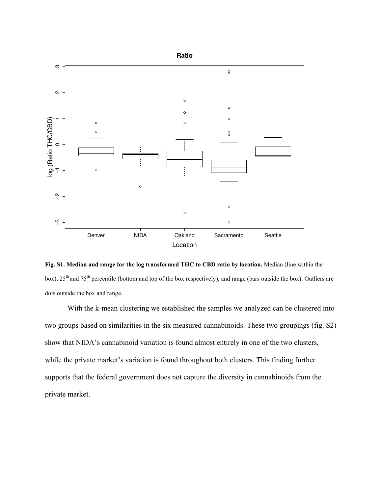

**Fig. S1. Median and range for the log transformed THC to CBD ratio by location.** Median (line within the box), 25<sup>th</sup> and 75<sup>th</sup> percentile (bottom and top of the box respectively), and range (bars outside the box). Outliers are dots outside the box and range.

With the k-mean clustering we established the samples we analyzed can be clustered into two groups based on similarities in the six measured cannabinoids. These two groupings (fig. S2) show that NIDA's cannabinoid variation is found almost entirely in one of the two clusters, while the private market's variation is found throughout both clusters. This finding further supports that the federal government does not capture the diversity in cannabinoids from the private market.